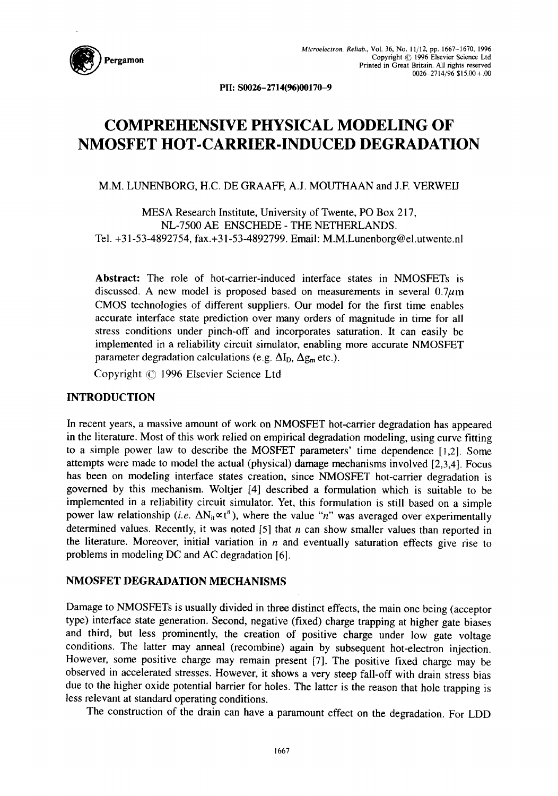

PII: S0026-2714(96)00170-9

# **COMPREHENSIVE PHYSICAL MODELING OF NMOSFET HOT-CARRIER-INDUCED DEGRADATION**

## M.M. LUNENBORG, H.C. DE GRAAFF, A.J. MOUTHAAN and J.E VERWEIJ

MESA Research Institute, University of Twente, PO Box 217, NL-7500 AE ENSCHEDE - THE NETHERLANDS. Tel. +31-53-4892754, fax.+31-53-4892799. Email: M.M.Lunenborg@el.utwente.nl

**Abstract:** The role of hot-carrier-induced interface states in NMOSFETs is discussed. A new model is proposed based on measurements in several  $0.7\mu$ m CMOS technologies of different suppliers. Our model for the first time enables accurate interface state prediction over many orders of magnitude in time for all stress conditions under pinch-off and incorporates saturation. It can easily be implemented in a reliability circuit simulator, enabling more accurate NMOSFET parameter degradation calculations (e.g.  $\Delta I_D$ ,  $\Delta g_m$  etc.).

Copyright © 1996 Elsevier Science Ltd

## INTRODUCTION

In recent years, a massive amount of work on NMOSFET hot-carrier degradation has appeared in the literature. Most of this work relied on empirical degradation modeling, using curve fitting to a simple power law to describe the MOSFET parameters' time dependence [1,2]. Some attempts were made to model the actual (physical) damage mechanisms involved [2,3,4]. Focus has been on modeling interface states creation, since NMOSFET hot-carrier degradation is governed by this mechanism. Woltjer [4] described a formulation which is suitable to be implemented in a reliability circuit simulator. Yet, this formulation is still based on a simple power law relationship *(i.e.*  $\Delta N_{it} \propto t^n$ ), where the value "n" was averaged over experimentally determined values. Recently, it was noted  $[5]$  that *n* can show smaller values than reported in the literature. Moreover, initial variation in  $n$  and eventually saturation effects give rise to problems in modeling DC and AC degradation [6].

## **NMOSFET DEGRADATION MECHANISMS**

Damage to NMOSFETs is usually divided in three distinct effects, the main one being (acceptor type) interface state generation. Second, negative (fixed) charge trapping at higher gate biases and third, but less prominently, the creation of positive charge under low gate voltage conditions. The latter may anneal (recombine) again by subsequent hot-electron injection. However, some positive charge may remain present [7]. The positive fixed charge may be observed in accelerated stresses. However, it shows a very steep fall-off with drain stress bias due to the higher oxide potential barrier for holes. The latter is the reason that hole trapping is less relevant at standard operating conditions.

The construction of the drain can have a paramount effect on the degradation. For LDD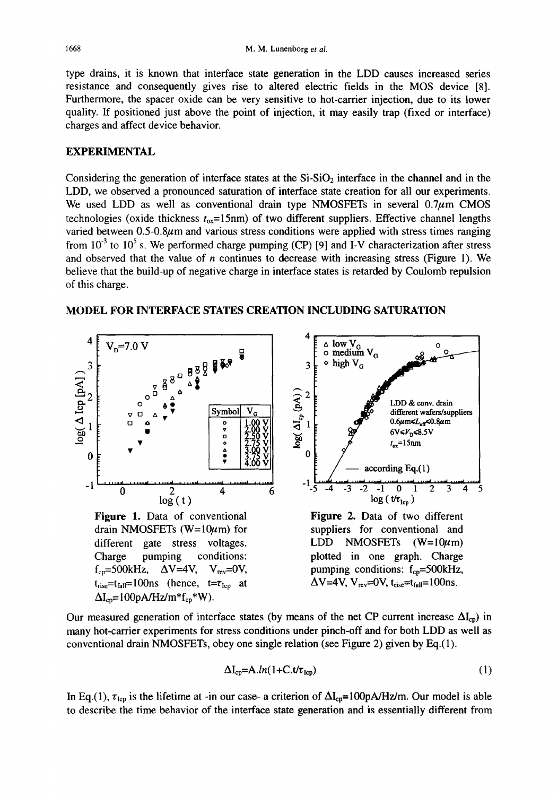type drains, it is known that interface state generation in the LDD causes increased series resistance and consequently gives rise to altered electric fields in the MOS device [8]. Furthermore, the spacer oxide can be very sensitive to hot-carrier injection, due to its lower quality. If positioned just above the point of injection, it may easily trap (fixed or interface) charges and affect device behavior.

### **EXPERIMENTAL**

Considering the generation of interface states at the  $Si-SiO<sub>2</sub>$  interface in the channel and in the LDD, we observed a pronounced saturation of interface state creation for all our experiments. We used LDD as well as conventional drain type NMOSFETs in several  $0.7 \mu m$  CMOS technologies (oxide thickness  $t_{ox}$ =15nm) of two different suppliers. Effective channel lengths varied between  $0.5$ -0.8 $\mu$ m and various stress conditions were applied with stress times ranging from  $10^3$  to  $10^5$  s. We performed charge pumping (CP) [9] and I-V characterization after stress and observed that the value of  $n$  continues to decrease with increasing stress (Figure 1). We believe that the build-up of negative charge in interface states is retarded by Coulomb repulsion of this charge.





Our measured generation of interface states (by means of the net CP current increase  $\Delta I_{cp}$ ) in many hot-carrier experiments for stress conditions under pinch-off and for both LDD as well as conventional drain NMOSFETs, obey one single relation (see Figure 2) given by Eq.(1).

$$
\Delta I_{cp} = A.h(1 + C.t/\tau_{lcp})
$$
 (1)

In Eq.(1),  $\tau_{\text{Icp}}$  is the lifetime at -in our case- a criterion of  $\Delta I_{\text{cp}}=100pA/Hz/m$ . Our model is able to describe the time behavior of the interface state generation and is essentially different from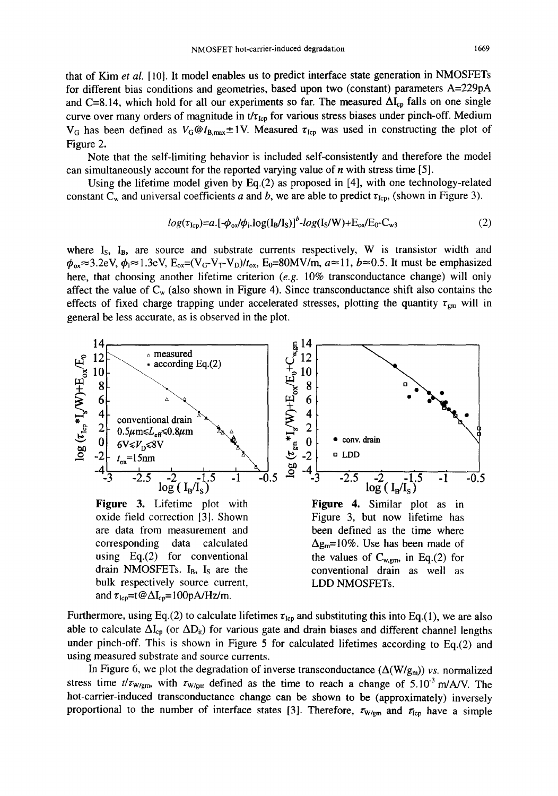that of Kim *et al.* [10]. It model enables us to predict interface state generation in NMOSFETs for different bias conditions and geometries, based upon two (constant) parameters A=229pA and C=8.14, which hold for all our experiments so far. The measured  $\Delta I_{cp}$  falls on one single curve over many orders of magnitude in  $t/\tau_{\text{Lcp}}$  for various stress biases under pinch-off. Medium  $V_G$  has been defined as  $V_G@I_{B,\text{max}}\pm 1V$ . Measured  $\tau_{I_{CD}}$  was used in constructing the plot of Figure 2.

Note that the self-limiting behavior is included self-consistently and therefore the model can simultaneously account for the reported varying value of  $n$  with stress time [5].

Using the lifetime model given by Eq.(2) as proposed in [4], with one technology-related constant C<sub>w</sub> and universal coefficients a and b, we are able to predict  $\tau_{\text{Icp}}$ , (shown in Figure 3).

$$
log(\tau_{\text{1cp}}) = a.[-\phi_{ox}/\phi_{\text{i}}.log(I_{\text{B}}/I_{\text{S}})]^{\text{b}} - log(I_{\text{S}}/W) + E_{ox}/E_{0} - C_{w3}
$$
 (2)

where  $I_S$ ,  $I_B$ , are source and substrate currents respectively, W is transistor width and  $\phi_{ox} \approx 3.2$ eV,  $\phi_i \approx 1.3$ eV,  $E_{ox} = (V_G - V_T - V_D)/t_{ox}$ ,  $E_0 = 80$ MV/m,  $a \approx 11$ ,  $b \approx 0.5$ . It must be emphasized here, that choosing another lifetime criterion (e.g. 10% transconductance change) will only affect the value of  $C_w$  (also shown in Figure 4). Since transconductance shift also contains the effects of fixed charge trapping under accelerated stresses, plotting the quantity  $\tau_{gm}$  will in general be less accurate, as is observed in the plot.



Furthermore, using Eq.(2) to calculate lifetimes  $\tau_{\text{Icp}}$  and substituting this into Eq.(1), we are also able to calculate  $\Delta I_{cp}$  (or  $\Delta D_{it}$ ) for various gate and drain biases and different channel lengths under pinch-off. This is shown in Figure 5 for calculated lifetimes according to Eq.(2) and using measured substrate and source currents.

In Figure 6, we plot the degradation of inverse transconductance  $(\Delta(W/g_m))$  *vs.* normalized stress time  $t/\tau_{W/\text{gm}}$ , with  $\tau_{W/\text{gm}}$  defined as the time to reach a change of 5.10<sup>-3</sup> m/A/V. The hot-carrier-induced transconductance change can be shown to be (approximately) inversely proportional to the number of interface states [3]. Therefore,  $\tau_{W/gm}$  and  $\tau_{lcp}$  have a simple